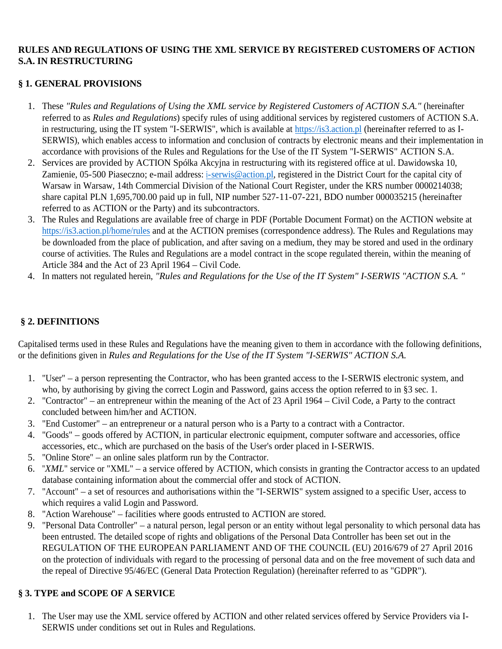### **RULES AND REGULATIONS OF USING THE XML SERVICE BY REGISTERED CUSTOMERS OF ACTION S.A. IN RESTRUCTURING**

### **§ 1. GENERAL PROVISIONS**

- 1. These *"Rules and Regulations of Using the XML service by Registered Customers of ACTION S.A."* (hereinafter referred to as *Rules and Regulations*) specify rules of using additional services by registered customers of ACTION S.A. in restructuring, using the IT system "I-SERWIS", which is available at https://is3.action.pl (hereinafter referred to as I-SERWIS), which enables access to information and conclusion of contracts by electronic means and their implementation in accordance with provisions of the Rules and Regulations for the Use of the IT System "I-SERWIS" ACTION S.A.
- 2. Services are provided by ACTION Spółka Akcyjna in restructuring with its registered office at ul. Dawidowska 10, Zamienie, 05-500 Piaseczno; e-mail address: i-serwis@action.pl, registered in the District Court for the capital city of Warsaw in Warsaw, 14th Commercial Division of the National Court Register, under the KRS number 0000214038; share capital PLN 1,695,700.00 paid up in full, NIP number 527-11-07-221, BDO number 000035215 (hereinafter referred to as ACTION or the Party) and its subcontractors.
- 3. The Rules and Regulations are available free of charge in PDF (Portable Document Format) on the ACTION website at https://is3.action.pl/home/rules and at the ACTION premises (correspondence address). The Rules and Regulations may be downloaded from the place of publication, and after saving on a medium, they may be stored and used in the ordinary course of activities. The Rules and Regulations are a model contract in the scope regulated therein, within the meaning of Article 384 and the Act of 23 April 1964 – Civil Code.
- 4. In matters not regulated herein, *"Rules and Regulations for the Use of the IT System" I-SERWIS "ACTION S.A. "*

## **§ 2. DEFINITIONS**

Capitalised terms used in these Rules and Regulations have the meaning given to them in accordance with the following definitions, or the definitions given in *Rules and Regulations for the Use of the IT System "I-SERWIS" ACTION S.A.*

- 1. "User" a person representing the Contractor, who has been granted access to the I-SERWIS electronic system, and who, by authorising by giving the correct Login and Password, gains access the option referred to in §3 sec. 1.
- 2. "Contractor" an entrepreneur within the meaning of the Act of 23 April 1964 Civil Code, a Party to the contract concluded between him/her and ACTION.
- 3. "End Customer" an entrepreneur or a natural person who is a Party to a contract with a Contractor.
- 4. "Goods" goods offered by ACTION, in particular electronic equipment, computer software and accessories, office accessories, etc., which are purchased on the basis of the User's order placed in I-SERWIS.
- 5. "Online Store" an online sales platform run by the Contractor.
- 6. "*XML*" service or "XML" a service offered by ACTION, which consists in granting the Contractor access to an updated database containing information about the commercial offer and stock of ACTION.
- 7. "Account" a set of resources and authorisations within the "I-SERWIS" system assigned to a specific User, access to which requires a valid Login and Password.
- 8. "Action Warehouse" facilities where goods entrusted to ACTION are stored.
- 9. "Personal Data Controller" a natural person, legal person or an entity without legal personality to which personal data has been entrusted. The detailed scope of rights and obligations of the Personal Data Controller has been set out in the REGULATION OF THE EUROPEAN PARLIAMENT AND OF THE COUNCIL (EU) 2016/679 of 27 April 2016 on the protection of individuals with regard to the processing of personal data and on the free movement of such data and the repeal of Directive 95/46/EC (General Data Protection Regulation) (hereinafter referred to as "GDPR").

### **§ 3. TYPE and SCOPE OF A SERVICE**

1. The User may use the XML service offered by ACTION and other related services offered by Service Providers via I-SERWIS under conditions set out in Rules and Regulations.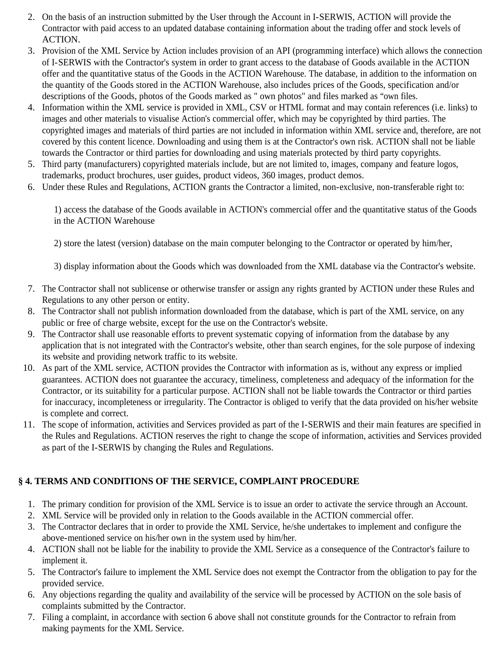- 2. On the basis of an instruction submitted by the User through the Account in I-SERWIS, ACTION will provide the Contractor with paid access to an updated database containing information about the trading offer and stock levels of ACTION.
- 3. Provision of the XML Service by Action includes provision of an API (programming interface) which allows the connection of I-SERWIS with the Contractor's system in order to grant access to the database of Goods available in the ACTION offer and the quantitative status of the Goods in the ACTION Warehouse. The database, in addition to the information on the quantity of the Goods stored in the ACTION Warehouse, also includes prices of the Goods, specification and/or descriptions of the Goods, photos of the Goods marked as " own photos" and files marked as "own files.
- 4. Information within the XML service is provided in XML, CSV or HTML format and may contain references (i.e. links) to images and other materials to visualise Action's commercial offer, which may be copyrighted by third parties. The copyrighted images and materials of third parties are not included in information within XML service and, therefore, are not covered by this content licence. Downloading and using them is at the Contractor's own risk. ACTION shall not be liable towards the Contractor or third parties for downloading and using materials protected by third party copyrights.
- 5. Third party (manufacturers) copyrighted materials include, but are not limited to, images, company and feature logos, trademarks, product brochures, user guides, product videos, 360 images, product demos.
- 6. Under these Rules and Regulations, ACTION grants the Contractor a limited, non-exclusive, non-transferable right to:

1) access the database of the Goods available in ACTION's commercial offer and the quantitative status of the Goods in the ACTION Warehouse

2) store the latest (version) database on the main computer belonging to the Contractor or operated by him/her,

3) display information about the Goods which was downloaded from the XML database via the Contractor's website.

- 7. The Contractor shall not sublicense or otherwise transfer or assign any rights granted by ACTION under these Rules and Regulations to any other person or entity.
- 8. The Contractor shall not publish information downloaded from the database, which is part of the XML service, on any public or free of charge website, except for the use on the Contractor's website.
- 9. The Contractor shall use reasonable efforts to prevent systematic copying of information from the database by any application that is not integrated with the Contractor's website, other than search engines, for the sole purpose of indexing its website and providing network traffic to its website.
- 10. As part of the XML service, ACTION provides the Contractor with information as is, without any express or implied guarantees. ACTION does not guarantee the accuracy, timeliness, completeness and adequacy of the information for the Contractor, or its suitability for a particular purpose. ACTION shall not be liable towards the Contractor or third parties for inaccuracy, incompleteness or irregularity. The Contractor is obliged to verify that the data provided on his/her website is complete and correct.
- 11. The scope of information, activities and Services provided as part of the I-SERWIS and their main features are specified in the Rules and Regulations. ACTION reserves the right to change the scope of information, activities and Services provided as part of the I-SERWIS by changing the Rules and Regulations.

# **§ 4. TERMS AND CONDITIONS OF THE SERVICE, COMPLAINT PROCEDURE**

- 1. The primary condition for provision of the XML Service is to issue an order to activate the service through an Account.
- 2. XML Service will be provided only in relation to the Goods available in the ACTION commercial offer.
- 3. The Contractor declares that in order to provide the XML Service, he/she undertakes to implement and configure the above-mentioned service on his/her own in the system used by him/her.
- 4. ACTION shall not be liable for the inability to provide the XML Service as a consequence of the Contractor's failure to implement it.
- 5. The Contractor's failure to implement the XML Service does not exempt the Contractor from the obligation to pay for the provided service.
- 6. Any objections regarding the quality and availability of the service will be processed by ACTION on the sole basis of complaints submitted by the Contractor.
- 7. Filing a complaint, in accordance with section 6 above shall not constitute grounds for the Contractor to refrain from making payments for the XML Service.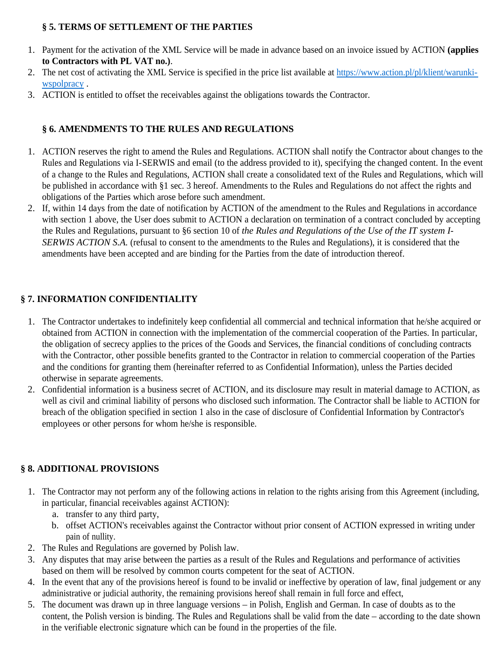## **§ 5. TERMS OF SETTLEMENT OF THE PARTIES**

- 1. Payment for the activation of the XML Service will be made in advance based on an invoice issued by ACTION **(applies to Contractors with PL VAT no.)**.
- 2. The net cost of activating the XML Service is specified in the price list available at https://www.action.pl/pl/klient/warunkiwspolpracy .
- 3. ACTION is entitled to offset the receivables against the obligations towards the Contractor.

# **§ 6. AMENDMENTS TO THE RULES AND REGULATIONS**

- 1. ACTION reserves the right to amend the Rules and Regulations. ACTION shall notify the Contractor about changes to the Rules and Regulations via I-SERWIS and email (to the address provided to it), specifying the changed content. In the event of a change to the Rules and Regulations, ACTION shall create a consolidated text of the Rules and Regulations, which will be published in accordance with §1 sec. 3 hereof. Amendments to the Rules and Regulations do not affect the rights and obligations of the Parties which arose before such amendment.
- 2. If, within 14 days from the date of notification by ACTION of the amendment to the Rules and Regulations in accordance with section 1 above, the User does submit to ACTION a declaration on termination of a contract concluded by accepting the Rules and Regulations, pursuant to §6 section 10 of *the Rules and Regulations of the Use of the IT system I-SERWIS ACTION S.A.* (refusal to consent to the amendments to the Rules and Regulations), it is considered that the amendments have been accepted and are binding for the Parties from the date of introduction thereof.

# **§ 7. INFORMATION CONFIDENTIALITY**

- 1. The Contractor undertakes to indefinitely keep confidential all commercial and technical information that he/she acquired or obtained from ACTION in connection with the implementation of the commercial cooperation of the Parties. In particular, the obligation of secrecy applies to the prices of the Goods and Services, the financial conditions of concluding contracts with the Contractor, other possible benefits granted to the Contractor in relation to commercial cooperation of the Parties and the conditions for granting them (hereinafter referred to as Confidential Information), unless the Parties decided otherwise in separate agreements.
- 2. Confidential information is a business secret of ACTION, and its disclosure may result in material damage to ACTION, as well as civil and criminal liability of persons who disclosed such information. The Contractor shall be liable to ACTION for breach of the obligation specified in section 1 also in the case of disclosure of Confidential Information by Contractor's employees or other persons for whom he/she is responsible.

# **§ 8. ADDITIONAL PROVISIONS**

- 1. The Contractor may not perform any of the following actions in relation to the rights arising from this Agreement (including, in particular, financial receivables against ACTION):
	- a. transfer to any third party,
	- b. offset ACTION's receivables against the Contractor without prior consent of ACTION expressed in writing under pain of nullity.
- 2. The Rules and Regulations are governed by Polish law.
- 3. Any disputes that may arise between the parties as a result of the Rules and Regulations and performance of activities based on them will be resolved by common courts competent for the seat of ACTION.
- 4. In the event that any of the provisions hereof is found to be invalid or ineffective by operation of law, final judgement or any administrative or judicial authority, the remaining provisions hereof shall remain in full force and effect,
- 5. The document was drawn up in three language versions in Polish, English and German. In case of doubts as to the content, the Polish version is binding. The Rules and Regulations shall be valid from the date – according to the date shown in the verifiable electronic signature which can be found in the properties of the file.